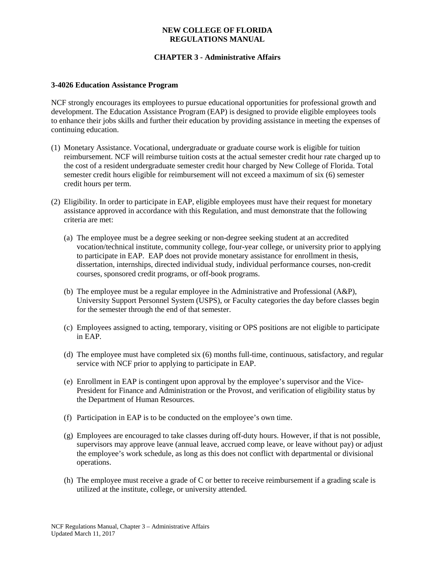## **NEW COLLEGE OF FLORIDA REGULATIONS MANUAL**

# **CHAPTER 3 - Administrative Affairs**

#### **3-4026 Education Assistance Program**

NCF strongly encourages its employees to pursue educational opportunities for professional growth and development. The Education Assistance Program (EAP) is designed to provide eligible employees tools to enhance their jobs skills and further their education by providing assistance in meeting the expenses of continuing education.

- (1) Monetary Assistance. Vocational, undergraduate or graduate course work is eligible for tuition reimbursement. NCF will reimburse tuition costs at the actual semester credit hour rate charged up to the cost of a resident undergraduate semester credit hour charged by New College of Florida. Total semester credit hours eligible for reimbursement will not exceed a maximum of six (6) semester credit hours per term.
- (2) Eligibility. In order to participate in EAP, eligible employees must have their request for monetary assistance approved in accordance with this Regulation, and must demonstrate that the following criteria are met:
	- (a) The employee must be a degree seeking or non-degree seeking student at an accredited vocation/technical institute, community college, four-year college, or university prior to applying to participate in EAP. EAP does not provide monetary assistance for enrollment in thesis, dissertation, internships, directed individual study, individual performance courses, non-credit courses, sponsored credit programs, or off-book programs.
	- (b) The employee must be a regular employee in the Administrative and Professional (A&P), University Support Personnel System (USPS), or Faculty categories the day before classes begin for the semester through the end of that semester.
	- (c) Employees assigned to acting, temporary, visiting or OPS positions are not eligible to participate in EAP.
	- (d) The employee must have completed six (6) months full-time, continuous, satisfactory, and regular service with NCF prior to applying to participate in EAP.
	- (e) Enrollment in EAP is contingent upon approval by the employee's supervisor and the Vice-President for Finance and Administration or the Provost, and verification of eligibility status by the Department of Human Resources.
	- (f) Participation in EAP is to be conducted on the employee's own time.
	- (g) Employees are encouraged to take classes during off-duty hours. However, if that is not possible, supervisors may approve leave (annual leave, accrued comp leave, or leave without pay) or adjust the employee's work schedule, as long as this does not conflict with departmental or divisional operations.
	- (h) The employee must receive a grade of C or better to receive reimbursement if a grading scale is utilized at the institute, college, or university attended.